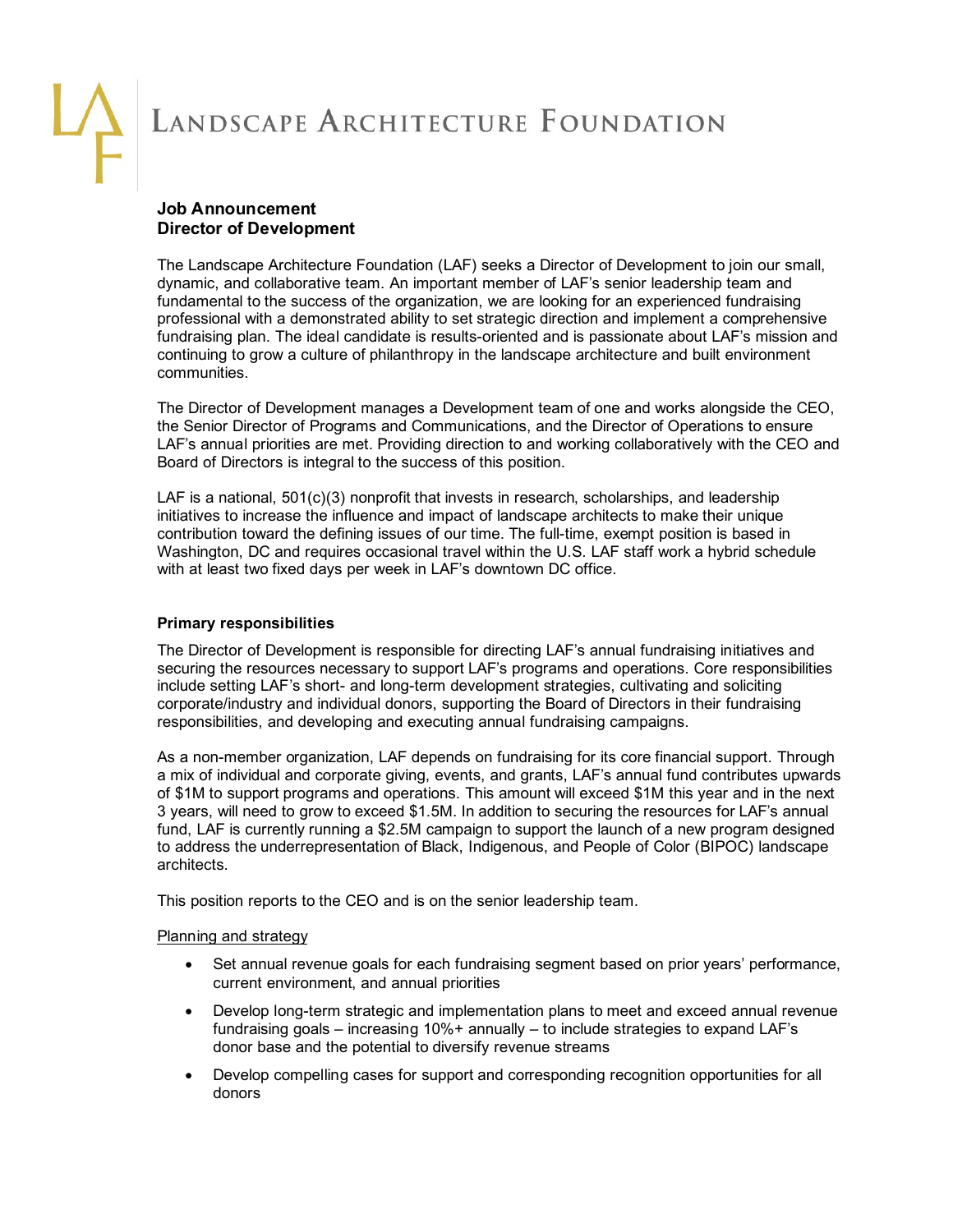# **Job Announcement Director of Development**

The Landscape Architecture Foundation (LAF) seeks a Director of Development to join our small, dynamic, and collaborative team. An important member of LAF's senior leadership team and fundamental to the success of the organization, we are looking for an experienced fundraising professional with a demonstrated ability to set strategic direction and implement a comprehensive fundraising plan. The ideal candidate is results-oriented and is passionate about LAF's mission and continuing to grow a culture of philanthropy in the landscape architecture and built environment communities.

The Director of Development manages a Development team of one and works alongside the CEO, the Senior Director of Programs and Communications, and the Director of Operations to ensure LAF's annual priorities are met. Providing direction to and working collaboratively with the CEO and Board of Directors is integral to the success of this position.

LAF is a national, 501(c)(3) nonprofit that invests in research, scholarships, and leadership initiatives to increase the influence and impact of landscape architects to make their unique contribution toward the defining issues of our time. The full-time, exempt position is based in Washington, DC and requires occasional travel within the U.S. LAF staff work a hybrid schedule with at least two fixed days per week in LAF's downtown DC office.

# **Primary responsibilities**

The Director of Development is responsible for directing LAF's annual fundraising initiatives and securing the resources necessary to support LAF's programs and operations. Core responsibilities include setting LAF's short- and long-term development strategies, cultivating and soliciting corporate/industry and individual donors, supporting the Board of Directors in their fundraising responsibilities, and developing and executing annual fundraising campaigns.

As a non-member organization, LAF depends on fundraising for its core financial support. Through a mix of individual and corporate giving, events, and grants, LAF's annual fund contributes upwards of \$1M to support programs and operations. This amount will exceed \$1M this year and in the next 3 years, will need to grow to exceed \$1.5M. In addition to securing the resources for LAF's annual fund, LAF is currently running a \$2.5M campaign to support the launch of a new program designed to address the underrepresentation of Black, Indigenous, and People of Color (BIPOC) landscape architects.

This position reports to the CEO and is on the senior leadership team.

## Planning and strategy

- Set annual revenue goals for each fundraising segment based on prior years' performance, current environment, and annual priorities
- Develop long-term strategic and implementation plans to meet and exceed annual revenue fundraising goals – increasing 10%+ annually – to include strategies to expand LAF's donor base and the potential to diversify revenue streams
- Develop compelling cases for support and corresponding recognition opportunities for all donors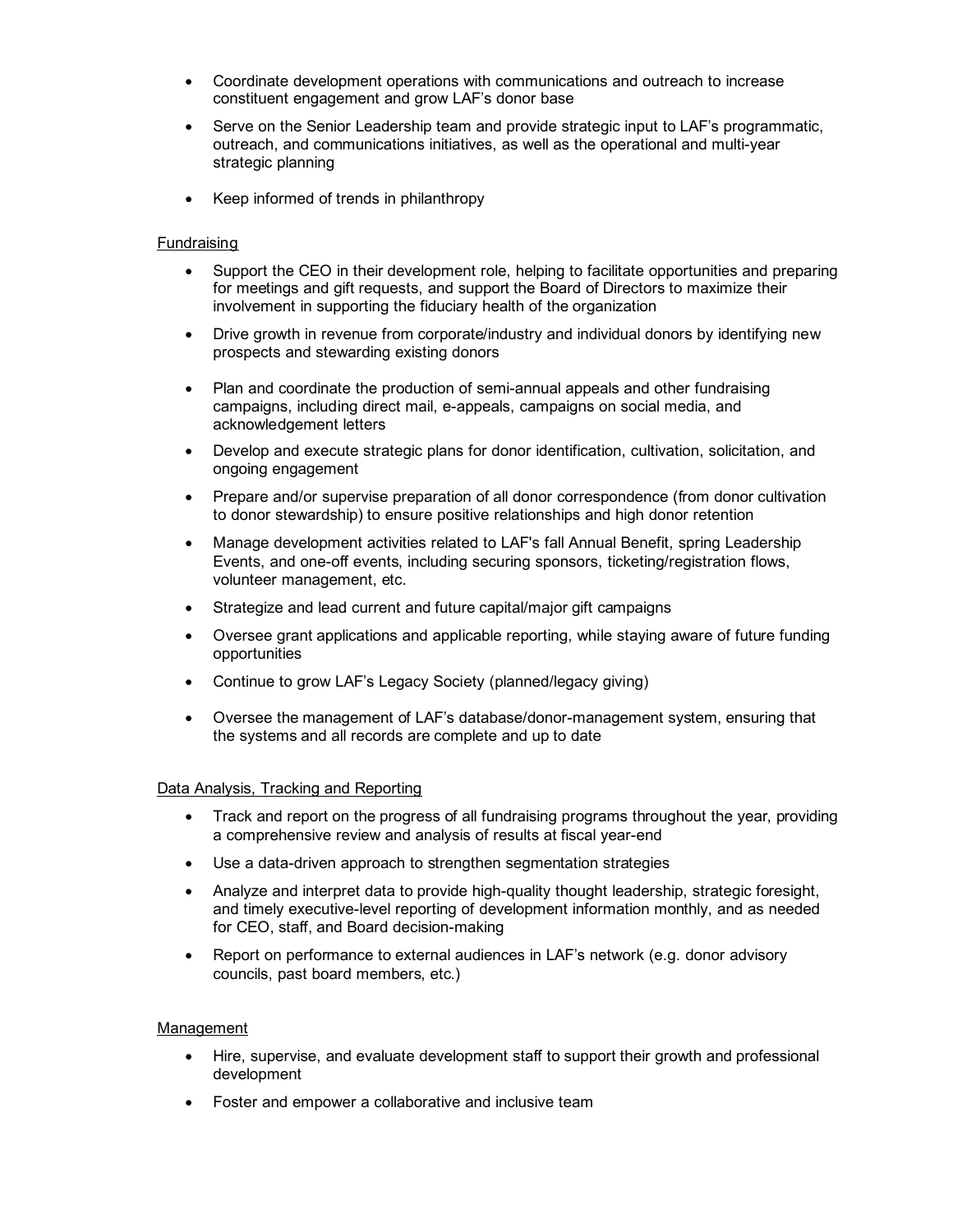- Coordinate development operations with communications and outreach to increase constituent engagement and grow LAF's donor base
- Serve on the Senior Leadership team and provide strategic input to LAF's programmatic, outreach, and communications initiatives, as well as the operational and multi-year strategic planning
- Keep informed of trends in philanthropy

### **Fundraising**

- Support the CEO in their development role, helping to facilitate opportunities and preparing for meetings and gift requests, and support the Board of Directors to maximize their involvement in supporting the fiduciary health of the organization
- Drive growth in revenue from corporate/industry and individual donors by identifying new prospects and stewarding existing donors
- Plan and coordinate the production of semi-annual appeals and other fundraising campaigns, including direct mail, e-appeals, campaigns on social media, and acknowledgement letters
- Develop and execute strategic plans for donor identification, cultivation, solicitation, and ongoing engagement
- Prepare and/or supervise preparation of all donor correspondence (from donor cultivation to donor stewardship) to ensure positive relationships and high donor retention
- Manage development activities related to LAF's fall Annual Benefit, spring Leadership Events, and one-off events, including securing sponsors, ticketing/registration flows, volunteer management, etc.
- Strategize and lead current and future capital/major gift campaigns
- Oversee grant applications and applicable reporting, while staying aware of future funding opportunities
- Continue to grow LAF's Legacy Society (planned/legacy giving)
- Oversee the management of LAF's database/donor-management system, ensuring that the systems and all records are complete and up to date

### Data Analysis, Tracking and Reporting

- Track and report on the progress of all fundraising programs throughout the year, providing a comprehensive review and analysis of results at fiscal year-end
- Use a data-driven approach to strengthen segmentation strategies
- Analyze and interpret data to provide high-quality thought leadership, strategic foresight, and timely executive-level reporting of development information monthly, and as needed for CEO, staff, and Board decision-making
- Report on performance to external audiences in LAF's network (e.g. donor advisory councils, past board members, etc.)

### Management

- Hire, supervise, and evaluate development staff to support their growth and professional development
- Foster and empower a collaborative and inclusive team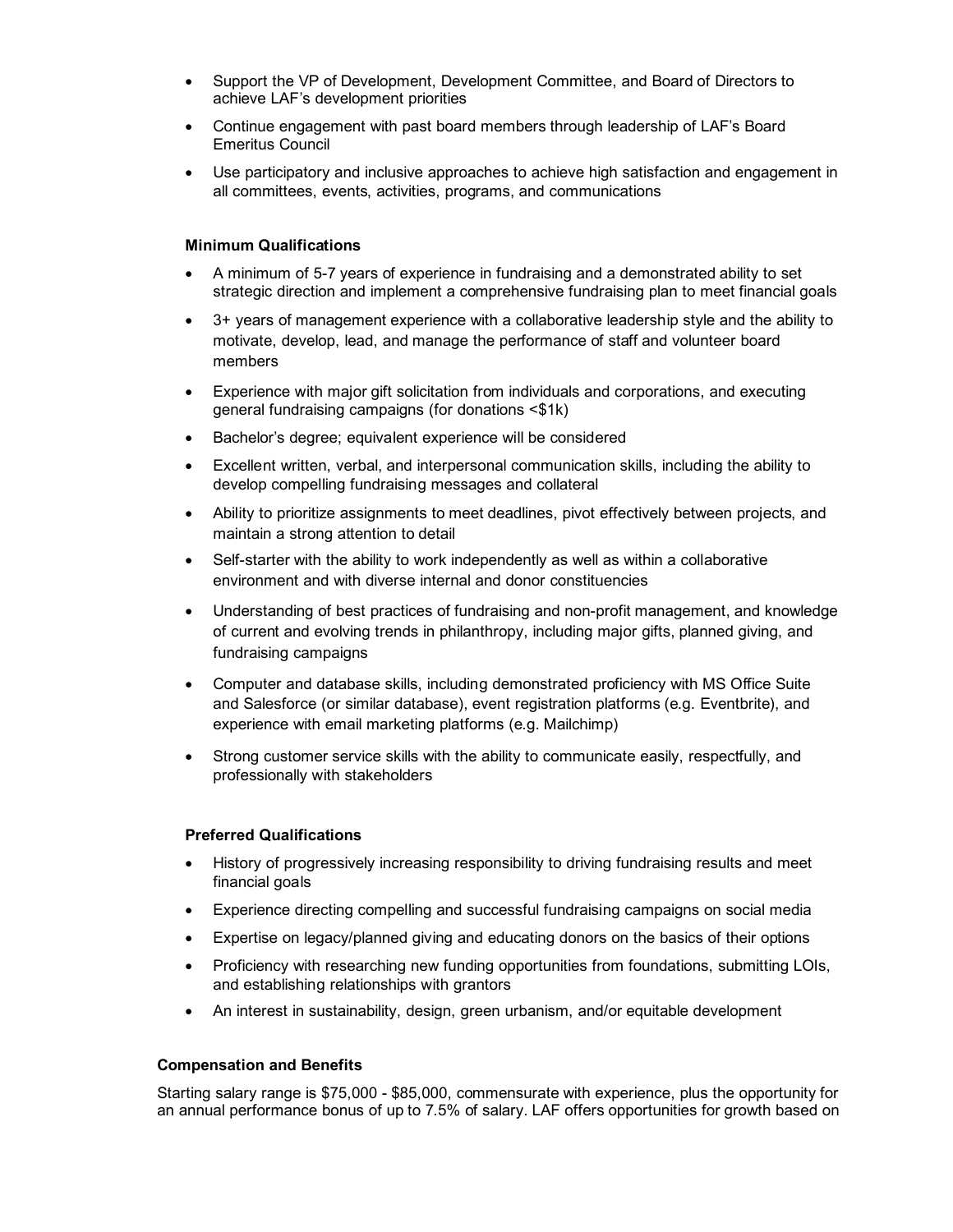- Support the VP of Development, Development Committee, and Board of Directors to achieve LAF's development priorities
- Continue engagement with past board members through leadership of LAF's Board Emeritus Council
- Use participatory and inclusive approaches to achieve high satisfaction and engagement in all committees, events, activities, programs, and communications

#### **Minimum Qualifications**

- A minimum of 5-7 years of experience in fundraising and a demonstrated ability to set strategic direction and implement a comprehensive fundraising plan to meet financial goals
- 3+ years of management experience with a collaborative leadership style and the ability to motivate, develop, lead, and manage the performance of staff and volunteer board members
- Experience with major gift solicitation from individuals and corporations, and executing general fundraising campaigns (for donations <\$1k)
- Bachelor's degree; equivalent experience will be considered
- Excellent written, verbal, and interpersonal communication skills, including the ability to develop compelling fundraising messages and collateral
- Ability to prioritize assignments to meet deadlines, pivot effectively between projects, and maintain a strong attention to detail
- Self-starter with the ability to work independently as well as within a collaborative environment and with diverse internal and donor constituencies
- Understanding of best practices of fundraising and non-profit management, and knowledge of current and evolving trends in philanthropy, including major gifts, planned giving, and fundraising campaigns
- Computer and database skills, including demonstrated proficiency with MS Office Suite and Salesforce (or similar database), event registration platforms (e.g. Eventbrite), and experience with email marketing platforms (e.g. Mailchimp)
- Strong customer service skills with the ability to communicate easily, respectfully, and professionally with stakeholders

#### **Preferred Qualifications**

- History of progressively increasing responsibility to driving fundraising results and meet financial goals
- Experience directing compelling and successful fundraising campaigns on social media
- Expertise on legacy/planned giving and educating donors on the basics of their options
- Proficiency with researching new funding opportunities from foundations, submitting LOIs, and establishing relationships with grantors
- An interest in sustainability, design, green urbanism, and/or equitable development

### **Compensation and Benefits**

Starting salary range is \$75,000 - \$85,000, commensurate with experience, plus the opportunity for an annual performance bonus of up to 7.5% of salary. LAF offers opportunities for growth based on